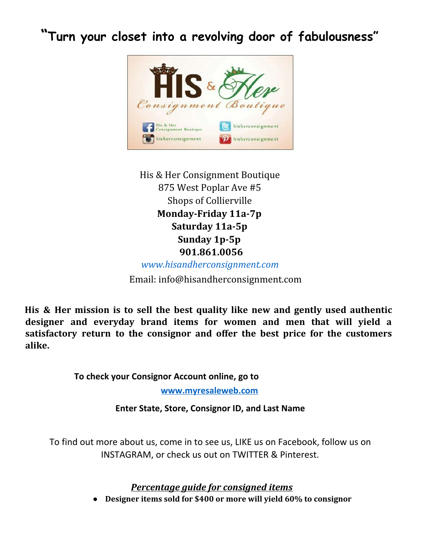**"Turn your closet into a revolving door of fabulousness"**



His & Her Consignment Boutique 875 West Poplar Ave #5 Shops of Collierville **Monday-Friday 11a-7p Saturday 11a-5p Sunday 1p-5p 901.861.0056** *[www.hisandherconsignment.com](http://www.hisandherconsignment.com/)*

Email: info@hisandherconsignment.com

**His & Her mission is to sell the best quality like new and gently used authentic designer and everyday brand items for women and men that will yield a satisfactory return to the consignor and offer the best price for the customers alike.**

**To check your Consignor Account online, go to**

**www.myresaleweb.com**

**Enter State, Store, Consignor ID, and Last Name**

To find out more about us, come in to see us, LIKE us on Facebook, follow us on INSTAGRAM, or check us out on TWITTER & Pinterest.

*Percentage guide for consigned items*

**● Designer items sold for \$400 or more will yield 60% to consignor**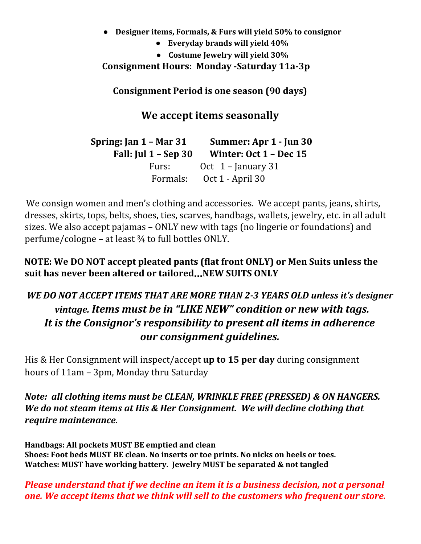- **● Designer items, Formals, & Furs will yield 50% to consignor**
	- **● Everyday brands will yield 40%**
	- **● Costume Jewelry will yield 30%**

## **Consignment Hours: Monday -Saturday 11a-3p**

**Consignment Period is one season (90 days)**

**We accept items seasonally**

**Spring: Jan 1 – Mar 31 Summer: Apr 1 - Jun 30 Fall: Jul 1 – Sep 30 Winter: Oct 1 – Dec 15** Furs: Oct 1 – January 31 Formals: Oct 1 - April 30

We consign women and men's clothing and accessories. We accept pants, jeans, shirts, dresses, skirts, tops, belts, shoes, ties, scarves, handbags, wallets, jewelry, etc. in all adult sizes. We also accept pajamas – ONLY new with tags (no lingerie or foundations) and perfume/cologne – at least  $\frac{3}{4}$  to full bottles ONLY.

**NOTE: We DO NOT accept pleated pants (flat front ONLY) or Men Suits unless the suit has never been altered or tailored**…**NEW SUITS ONLY**

## *WE DO NOT ACCEPT ITEMS THAT ARE MORE THAN 2-3 YEARS OLD unless it's designer vintage. Items must be in "LIKE NEW" condition or new with tags. It is the Consignor's responsibility to present all items in adherence our consignment guidelines.*

His & Her Consignment will inspect/accept **up to 15 per day** during consignment hours of 11am – 3pm, Monday thru Saturday

## *Note: all clothing items must be CLEAN, WRINKLE FREE (PRESSED) & ON HANGERS. We do not steam items at His & Her Consignment. We will decline clothing that require maintenance.*

**Handbags: All pockets MUST BE emptied and clean Shoes: Foot beds MUST BE clean. No inserts or toe prints. No nicks on heels or toes. Watches: MUST have working battery. Jewelry MUST be separated & not tangled**

## *Please understand that if we decline an item it is a business decision, not a personal one. We accept items that we think will sell to the customers who frequent our store.*